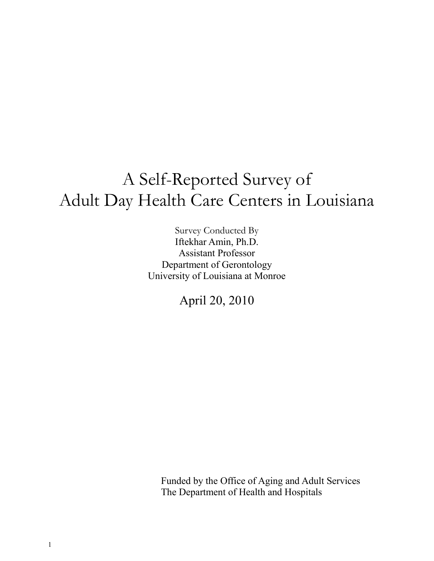# A Self-Reported Survey of Adult Day Health Care Centers in Louisiana

Survey Conducted By Iftekhar Amin, Ph.D. Assistant Professor Department of Gerontology University of Louisiana at Monroe

April 20, 2010

Funded by the Office of Aging and Adult Services The Department of Health and Hospitals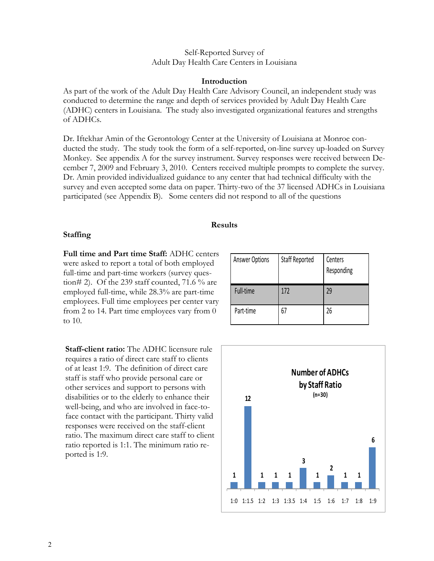#### Self-Reported Survey of Adult Day Health Care Centers in Louisiana

#### **Introduction**

As part of the work of the Adult Day Health Care Advisory Council, an independent study was conducted to determine the range and depth of services provided by Adult Day Health Care (ADHC) centers in Louisiana. The study also investigated organizational features and strengths of ADHCs.

Dr. Iftekhar Amin of the Gerontology Center at the University of Louisiana at Monroe conducted the study. The study took the form of a self-reported, on-line survey up-loaded on Survey Monkey. See appendix A for the survey instrument. Survey responses were received between December 7, 2009 and February 3, 2010. Centers received multiple prompts to complete the survey. Dr. Amin provided individualized guidance to any center that had technical difficulty with the survey and even accepted some data on paper. Thirty-two of the 37 licensed ADHCs in Louisiana participated (see Appendix B). Some centers did not respond to all of the questions

### **Results**

#### **Staffing**

**Full time and Part time Staff:** ADHC centers were asked to report a total of both employed full-time and part-time workers (survey question# 2). Of the 239 staff counted, 71.6  $\%$  are employed full-time, while 28.3% are part-time employees. Full time employees per center vary from 2 to 14. Part time employees vary from 0 to 10.

**Staff-client ratio:** The ADHC licensure rule requires a ratio of direct care staff to clients of at least 1:9. The definition of direct care staff is staff who provide personal care or other services and support to persons with disabilities or to the elderly to enhance their well-being, and who are involved in face-toface contact with the participant. Thirty valid responses were received on the staff-client ratio. The maximum direct care staff to client ratio reported is 1:1. The minimum ratio reported is 1:9.

| <b>Answer Options</b> | Staff Reported | Centers<br>Responding |
|-----------------------|----------------|-----------------------|
| Full-time             | 172            | 29                    |
| Part-time             |                | 26                    |

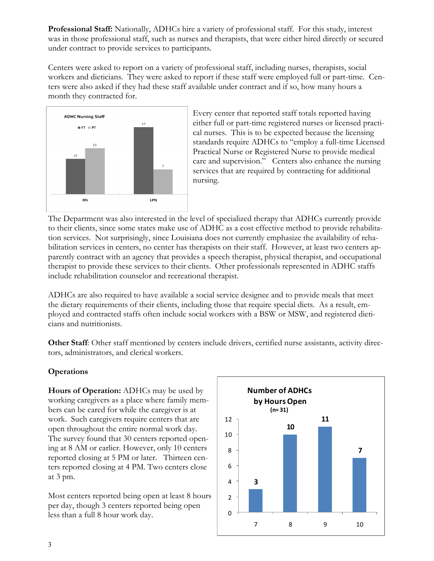**Professional Staff:** Nationally, ADHCs hire a variety of professional staff. For this study, interest was in those professional staff, such as nurses and therapists, that were either hired directly or secured under contract to provide services to participants.

Centers were asked to report on a variety of professional staff, including nurses, therapists, social workers and dieticians. They were asked to report if these staff were employed full or part-time. Centers were also asked if they had these staff available under contract and if so, how many hours a month they contracted for.



Every center that reported staff totals reported having either full or part-time registered nurses or licensed practical nurses. This is to be expected because the licensing standards require ADHCs to "employ a full-time Licensed Practical Nurse or Registered Nurse to provide medical care and supervision." Centers also enhance the nursing services that are required by contracting for additional nursing.

The Department was also interested in the level of specialized therapy that ADHCs currently provide to their clients, since some states make use of ADHC as a cost effective method to provide rehabilitation services. Not surprisingly, since Louisiana does not currently emphasize the availability of rehabilitation services in centers, no center has therapists on their staff. However, at least two centers apparently contract with an agency that provides a speech therapist, physical therapist, and occupational therapist to provide these services to their clients. Other professionals represented in ADHC staffs include rehabilitation counselor and recreational therapist.

ADHCs are also required to have available a social service designee and to provide meals that meet the dietary requirements of their clients, including those that require special diets. As a result, employed and contracted staffs often include social workers with a BSW or MSW, and registered dieticians and nutritionists.

**Other Staff**: Other staff mentioned by centers include drivers, certified nurse assistants, activity directors, administrators, and clerical workers.

## **Operations**

**Hours of Operation:** ADHCs may be used by working caregivers as a place where family members can be cared for while the caregiver is at work. Such caregivers require centers that are open throughout the entire normal work day. The survey found that 30 centers reported opening at 8 AM or earlier. However, only 10 centers reported closing at 5 PM or later. Thirteen centers reported closing at 4 PM. Two centers close at 3 pm.

Most centers reported being open at least 8 hours per day, though 3 centers reported being open less than a full 8 hour work day.

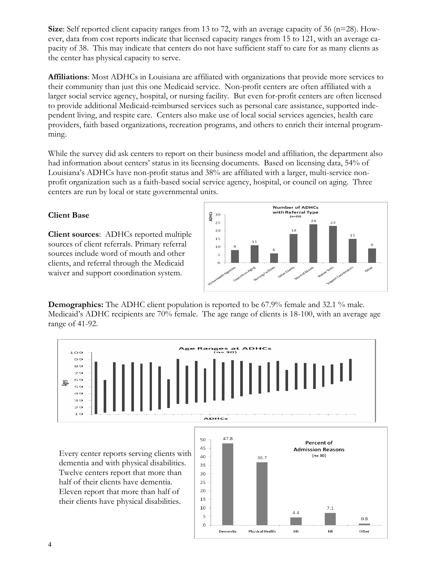**Size**: Self reported client capacity ranges from 13 to 72, with an average capacity of 36 (n=28). However, data from cost reports indicate that licensed capacity ranges from 15 to 121, with an average capacity of 38. This may indicate that centers do not have sufficient staff to care for as many clients as the center has physical capacity to serve.

**Affiliations**: Most ADHCs in Louisiana are affiliated with organizations that provide more services to their community than just this one Medicaid service. Non-profit centers are often affiliated with a larger social service agency, hospital, or nursing facility. But even for-profit centers are often licensed to provide additional Medicaid-reimbursed services such as personal care assistance, supported independent living, and respite care. Centers also make use of local social services agencies, health care providers, faith based organizations, recreation programs, and others to enrich their internal programming.

While the survey did ask centers to report on their business model and affiliation, the department also had information about centers' status in its licensing documents. Based on licensing data, 54% of Louisiana's ADHCs have non-profit status and 38% are affiliated with a larger, multi-service nonprofit organization such as a faith-based social service agency, hospital, or council on aging. Three centers are run by local or state governmental units.

# **Client Base**

**Client sources**: ADHCs reported multiple sources of client referrals. Primary referral sources include word of mouth and other clients, and referral through the Medicaid waiver and support coordination system.



**Demographics:** The ADHC client population is reported to be 67.9% female and 32.1 % male. Medicaid's ADHC recipients are 70% female. The age range of clients is 18-100, with an average age range of 41-92.



dementia and with physical disabilities. Twelve centers report that more than half of their clients have dementia. Eleven report that more than half of their clients have physical disabilities.

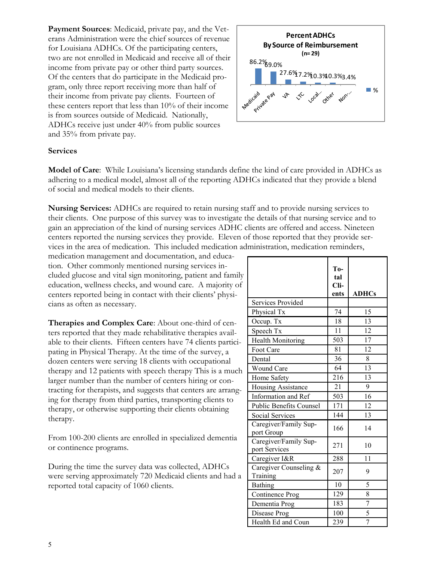**Payment Sources**: Medicaid, private pay, and the Veterans Administration were the chief sources of revenue for Louisiana ADHCs. Of the participating centers, two are not enrolled in Medicaid and receive all of their income from private pay or other third party sources. Of the centers that do participate in the Medicaid program, only three report receiving more than half of their income from private pay clients. Fourteen of these centers report that less than 10% of their income is from sources outside of Medicaid. Nationally, ADHCs receive just under 40% from public sources and 35% from private pay.



#### **Services**

**Model of Care**: While Louisiana's licensing standards define the kind of care provided in ADHCs as adhering to a medical model, almost all of the reporting ADHCs indicated that they provide a blend of social and medical models to their clients.

**Nursing Services:** ADHCs are required to retain nursing staff and to provide nursing services to their clients. One purpose of this survey was to investigate the details of that nursing service and to gain an appreciation of the kind of nursing services ADHC clients are offered and access. Nineteen centers reported the nursing services they provide. Eleven of those reported that they provide services in the area of medication. This included medication administration, medication reminders,

medication management and documentation, and education. Other commonly mentioned nursing services included glucose and vital sign monitoring, patient and family education, wellness checks, and wound care. A majority of centers reported being in contact with their clients' physicians as often as necessary.

**Therapies and Complex Care**: About one-third of centers reported that they made rehabilitative therapies available to their clients. Fifteen centers have 74 clients participating in Physical Therapy. At the time of the survey, a dozen centers were serving 18 clients with occupational therapy and 12 patients with speech therapy This is a much larger number than the number of centers hiring or contracting for therapists, and suggests that centers are arranging for therapy from third parties, transporting clients to therapy, or otherwise supporting their clients obtaining therapy.

From 100-200 clients are enrolled in specialized dementia or continence programs.

During the time the survey data was collected, ADHCs were serving approximately 720 Medicaid clients and had a reported total capacity of 1060 clients.

|                                        | To-<br>tal<br>Cli-<br>ents | <b>ADHCs</b>   |
|----------------------------------------|----------------------------|----------------|
| <b>Services Provided</b>               |                            |                |
| Physical Tx                            | 74                         | 15             |
| Occup. Tx                              | 18                         | 13             |
| Speech Tx                              | 11                         | 12             |
| <b>Health Monitoring</b>               | 503                        | 17             |
| Foot Care                              | 81                         | 12             |
| Dental                                 | 36                         | 8              |
| Wound Care                             | 64                         | 13             |
| Home Safety                            | 216                        | 13             |
| <b>Housing Assistance</b>              | 21                         | 9              |
| Information and Ref                    | 503                        | 16             |
| <b>Public Benefits Counsel</b>         | 171                        | 12             |
| <b>Social Services</b>                 | 144                        | 13             |
| Caregiver/Family Sup-<br>port Group    | 166                        | 14             |
| Caregiver/Family Sup-<br>port Services | 271                        | 10             |
| Caregiver I&R                          | 288                        | 11             |
| Caregiver Counseling &<br>Training     | 207                        | 9              |
| <b>Bathing</b>                         | 10                         | 5              |
| Continence Prog                        | 129                        | 8              |
| Dementia Prog                          | 183                        | $\overline{7}$ |
| Disease Prog                           | 100                        | 5              |
| Health Ed and Coun                     | 239                        | 7              |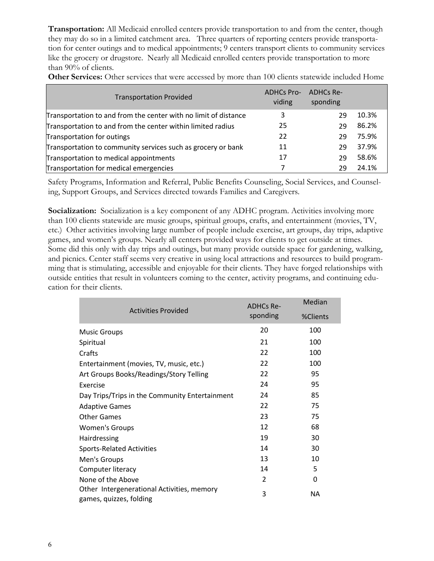**Transportation:** All Medicaid enrolled centers provide transportation to and from the center, though they may do so in a limited catchment area. Three quarters of reporting centers provide transportation for center outings and to medical appointments; 9 centers transport clients to community services like the grocery or drugstore. Nearly all Medicaid enrolled centers provide transportation to more than 90% of clients.

| <b>Other Services:</b> Other services that were accessed by more than 100 clients statewide included Home |  |  |  |  |  |  |  |
|-----------------------------------------------------------------------------------------------------------|--|--|--|--|--|--|--|
|                                                                                                           |  |  |  |  |  |  |  |

| <b>Transportation Provided</b>                                  | <b>ADHCs Pro-</b><br>viding | ADHCs Re-<br>sponding |       |
|-----------------------------------------------------------------|-----------------------------|-----------------------|-------|
| Transportation to and from the center with no limit of distance | 3                           | 29                    | 10.3% |
| Transportation to and from the center within limited radius     | 25                          | 29                    | 86.2% |
| Transportation for outings                                      | 22                          | 29                    | 75.9% |
| Transportation to community services such as grocery or bank    | 11                          | 29                    | 37.9% |
| Transportation to medical appointments                          | 17                          | 29                    | 58.6% |
| Transportation for medical emergencies                          |                             | 79                    | 24.1% |

Safety Programs, Information and Referral, Public Benefits Counseling, Social Services, and Counseling, Support Groups, and Services directed towards Families and Caregivers.

Socialization: Socialization is a key component of any ADHC program. Activities involving more than 100 clients statewide are music groups, spiritual groups, crafts, and entertainment (movies, TV, etc.) Other activities involving large number of people include exercise, art groups, day trips, adaptive games, and women's groups. Nearly all centers provided ways for clients to get outside at times. Some did this only with day trips and outings, but many provide outside space for gardening, walking, and picnics. Center staff seems very creative in using local attractions and resources to build programming that is stimulating, accessible and enjoyable for their clients. They have forged relationships with outside entities that result in volunteers coming to the center, activity programs, and continuing education for their clients.

|                                                                       | <b>ADHCs Re-</b> | Median   |
|-----------------------------------------------------------------------|------------------|----------|
| <b>Activities Provided</b>                                            | sponding         | %Clients |
| <b>Music Groups</b>                                                   | 20               | 100      |
| Spiritual                                                             | 21               | 100      |
| Crafts                                                                | 22               | 100      |
| Entertainment (movies, TV, music, etc.)                               | 22               | 100      |
| Art Groups Books/Readings/Story Telling                               | 22               | 95       |
| Exercise                                                              | 24               | 95       |
| Day Trips/Trips in the Community Entertainment                        | 24               | 85       |
| <b>Adaptive Games</b>                                                 | 22               | 75       |
| <b>Other Games</b>                                                    | 23               | 75       |
| <b>Women's Groups</b>                                                 | 12               | 68       |
| Hairdressing                                                          | 19               | 30       |
| <b>Sports-Related Activities</b>                                      | 14               | 30       |
| Men's Groups                                                          | 13               | 10       |
| Computer literacy                                                     | 14               | 5        |
| None of the Above                                                     | $\overline{2}$   | 0        |
| Other Intergenerational Activities, memory<br>games, quizzes, folding | 3                | NА       |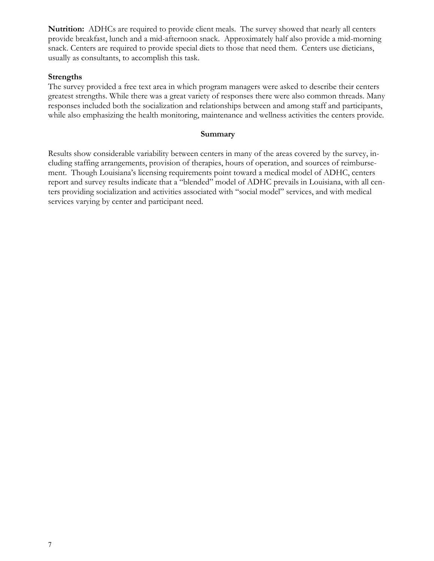Nutrition: ADHCs are required to provide client meals. The survey showed that nearly all centers provide breakfast, lunch and a mid-afternoon snack. Approximately half also provide a mid-morning snack. Centers are required to provide special diets to those that need them. Centers use dieticians, usually as consultants, to accomplish this task.

#### **Strengths**

The survey provided a free text area in which program managers were asked to describe their centers greatest strengths. While there was a great variety of responses there were also common threads. Many responses included both the socialization and relationships between and among staff and participants, while also emphasizing the health monitoring, maintenance and wellness activities the centers provide.

#### **Summary**

Results show considerable variability between centers in many of the areas covered by the survey, including staffing arrangements, provision of therapies, hours of operation, and sources of reimbursement. Though Louisiana's licensing requirements point toward a medical model of ADHC, centers report and survey results indicate that a "blended" model of ADHC prevails in Louisiana, with all centers providing socialization and activities associated with "social model" services, and with medical services varying by center and participant need.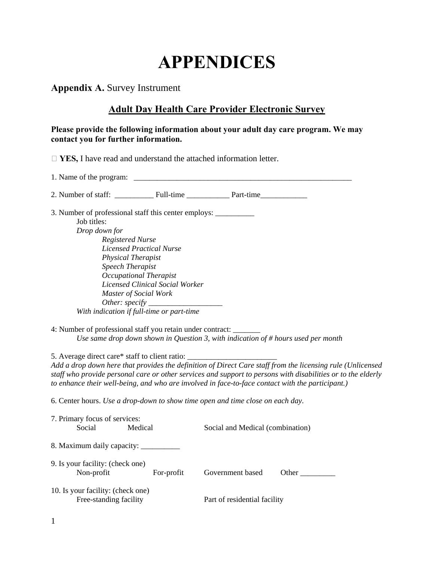# **APPENDICES**

**Appendix A.** Survey Instrument

# **Adult Day Health Care Provider Electronic Survey**

#### **Please provide the following information about your adult day care program. We may contact you for further information.**

□ **YES**, I have read and understand the attached information letter.

|                                                                                  |                                 | 2. Number of staff: Full-time Part-time                                           |
|----------------------------------------------------------------------------------|---------------------------------|-----------------------------------------------------------------------------------|
| 3. Number of professional staff this center employs: ___________________________ |                                 |                                                                                   |
| Job titles:                                                                      |                                 |                                                                                   |
| Drop down for                                                                    |                                 |                                                                                   |
| Registered Nurse                                                                 |                                 |                                                                                   |
|                                                                                  | Licensed Practical Nurse        |                                                                                   |
| <i>Physical Therapist</i>                                                        |                                 |                                                                                   |
| <b>Speech Therapist</b>                                                          |                                 |                                                                                   |
|                                                                                  | Occupational Therapist          |                                                                                   |
|                                                                                  | Licensed Clinical Social Worker |                                                                                   |
| Master of Social Work                                                            |                                 |                                                                                   |
|                                                                                  |                                 |                                                                                   |
| With indication if full-time or part-time                                        |                                 |                                                                                   |
|                                                                                  |                                 |                                                                                   |
| 4: Number of professional staff you retain under contract: _______               |                                 |                                                                                   |
|                                                                                  |                                 | Use same drop down shown in Question 3, with indication of # hours used per month |

5. Average direct care\* staff to client ratio: \_\_\_\_\_\_\_\_\_\_\_\_\_\_\_\_\_\_\_\_\_\_\_ *Add a drop down here that provides the definition of Direct Care staff from the licensing rule (Unlicensed staff who provide personal care or other services and support to persons with disabilities or to the elderly to enhance their well-being, and who are involved in face-to-face contact with the participant.)* 

6. Center hours. *Use a drop-down to show time open and time close on each day*.

| 7. Primary focus of services:                               |            |                                  |       |
|-------------------------------------------------------------|------------|----------------------------------|-------|
| Social                                                      | Medical    | Social and Medical (combination) |       |
| 8. Maximum daily capacity:                                  |            |                                  |       |
| 9. Is your facility: (check one)                            |            |                                  |       |
| Non-profit                                                  | For-profit | Government based                 | Other |
| 10. Is your facility: (check one)<br>Free-standing facility |            | Part of residential facility     |       |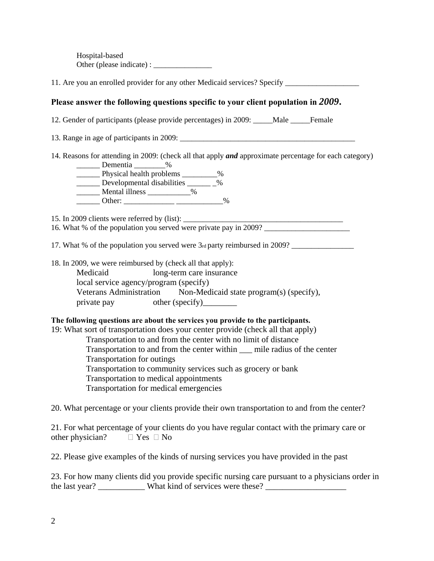Hospital-based Other (please indicate) :

11. Are you an enrolled provider for any other Medicaid services? Specify

### **Please answer the following questions specific to your client population in** *2009***.**

12. Gender of participants (please provide percentages) in 2009: \_\_\_\_\_Male \_\_\_\_\_Female

13. Range in age of participants in  $2009$ :

14. Reasons for attending in 2009: (check all that apply *and* approximate percentage for each category)  $D_{\text{const}}$ 

| репісния                   |      |      |
|----------------------------|------|------|
| Physical health problems   |      | $\%$ |
| Developmental disabilities |      | $\%$ |
| Mental illness             | $\%$ |      |
| Other:                     |      |      |

15. In 2009 clients were referred by  $(list)$ :

16. What % of the population you served were private pay in 2009?

17. What % of the population you served were 3rd party reimbursed in 2009? \_\_\_\_\_\_\_\_\_\_\_\_\_\_\_\_

18. In 2009, we were reimbursed by (check all that apply):

Medicaid long-term care insurance local service agency/program (specify) Veterans Administration Non-Medicaid state program(s) (specify), private pay other (specify)

#### **The following questions are about the services you provide to the participants.**

19: What sort of transportation does your center provide (check all that apply)

Transportation to and from the center with no limit of distance

Transportation to and from the center within \_\_\_ mile radius of the center

Transportation for outings

Transportation to community services such as grocery or bank

Transportation to medical appointments

Transportation for medical emergencies

20. What percentage or your clients provide their own transportation to and from the center?

21. For what percentage of your clients do you have regular contact with the primary care or other physician?  $\Box$  Yes  $\Box$  No

22. Please give examples of the kinds of nursing services you have provided in the past

23. For how many clients did you provide specific nursing care pursuant to a physicians order in the last year? \_\_\_\_\_\_\_\_\_\_\_\_ What kind of services were these?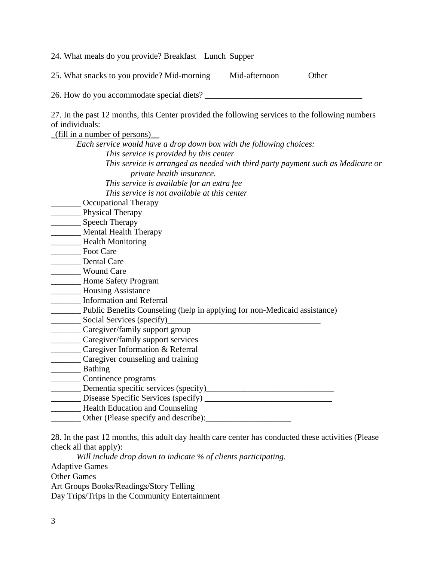24. What meals do you provide? Breakfast Lunch Supper

25. What snacks to you provide? Mid-morning Mid-afternoon Other

26. How do you accommodate special diets?

27. In the past 12 months, this Center provided the following services to the following numbers of individuals:

| (fill in a number of persons)                                                   |
|---------------------------------------------------------------------------------|
| Each service would have a drop down box with the following choices:             |
| This service is provided by this center                                         |
| This service is arranged as needed with third party payment such as Medicare or |
| private health insurance.                                                       |
| This service is available for an extra fee                                      |
| This service is not available at this center                                    |
| <b>Occupational Therapy</b>                                                     |
| Physical Therapy                                                                |
| <b>Speech Therapy</b>                                                           |
| <b>Mental Health Therapy</b>                                                    |
| <b>Health Monitoring</b>                                                        |
| <b>Foot Care</b>                                                                |
| <b>Dental Care</b>                                                              |
| <b>Wound Care</b>                                                               |
| Home Safety Program                                                             |
| <b>Housing Assistance</b>                                                       |
| <b>Information and Referral</b>                                                 |
| Public Benefits Counseling (help in applying for non-Medicaid assistance)       |
| Social Services (specify)                                                       |
| Caregiver/family support group                                                  |
| Caregiver/family support services                                               |
| Caregiver Information & Referral                                                |
| Caregiver counseling and training                                               |
| <b>Bathing</b>                                                                  |
| Continence programs                                                             |
| Dementia specific services (specify)                                            |
| Disease Specific Services (specify) _____                                       |
| Health Education and Counseling                                                 |
| Other (Please specify and describe):                                            |
|                                                                                 |

28. In the past 12 months, this adult day health care center has conducted these activities (Please check all that apply):

*Will include drop down to indicate % of clients participating.*  Adaptive Games Other Games Art Groups Books/Readings/Story Telling

Day Trips/Trips in the Community Entertainment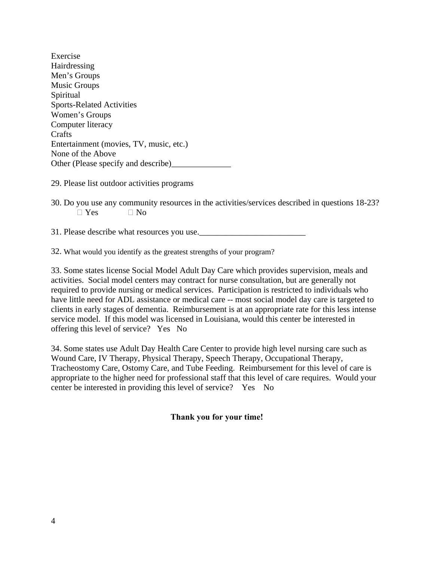| Exercise                                |
|-----------------------------------------|
| Hairdressing                            |
| Men's Groups                            |
| <b>Music Groups</b>                     |
| Spiritual                               |
| <b>Sports-Related Activities</b>        |
| Women's Groups                          |
| Computer literacy                       |
| Crafts                                  |
| Entertainment (movies, TV, music, etc.) |
| None of the Above                       |
| Other (Please specify and describe)     |

29. Please list outdoor activities programs

30. Do you use any community resources in the activities/services described in questions 18-23?  $\Box$  Yes  $\Box$  No

31. Please describe what resources you use.

32. What would you identify as the greatest strengths of your program?

33. Some states license Social Model Adult Day Care which provides supervision, meals and activities. Social model centers may contract for nurse consultation, but are generally not required to provide nursing or medical services. Participation is restricted to individuals who have little need for ADL assistance or medical care -- most social model day care is targeted to clients in early stages of dementia. Reimbursement is at an appropriate rate for this less intense service model. If this model was licensed in Louisiana, would this center be interested in offering this level of service? Yes No

34. Some states use Adult Day Health Care Center to provide high level nursing care such as Wound Care, IV Therapy, Physical Therapy, Speech Therapy, Occupational Therapy, Tracheostomy Care, Ostomy Care, and Tube Feeding. Reimbursement for this level of care is appropriate to the higher need for professional staff that this level of care requires. Would your center be interested in providing this level of service? Yes No

## **Thank you for your time!**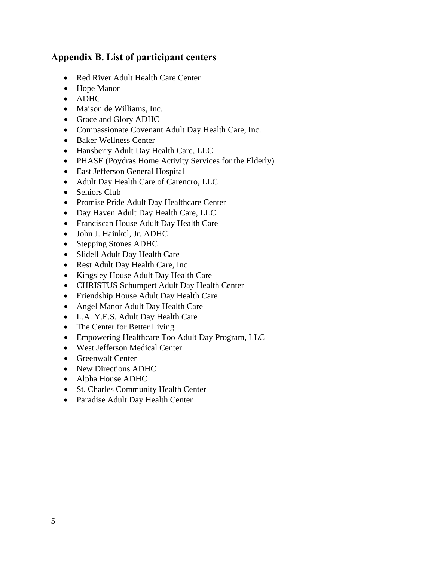# **Appendix B. List of participant centers**

- Red River Adult Health Care Center
- Hope Manor
- ADHC
- Maison de Williams, Inc.
- Grace and Glory ADHC
- Compassionate Covenant Adult Day Health Care, Inc.
- Baker Wellness Center
- Hansberry Adult Day Health Care, LLC
- PHASE (Poydras Home Activity Services for the Elderly)
- East Jefferson General Hospital
- Adult Day Health Care of Carencro, LLC
- Seniors Club
- Promise Pride Adult Day Healthcare Center
- Day Haven Adult Day Health Care, LLC
- Franciscan House Adult Day Health Care
- John J. Hainkel, Jr. ADHC
- Stepping Stones ADHC
- Slidell Adult Day Health Care
- Rest Adult Day Health Care, Inc
- Kingsley House Adult Day Health Care
- CHRISTUS Schumpert Adult Day Health Center
- Friendship House Adult Day Health Care
- Angel Manor Adult Day Health Care
- L.A. Y.E.S. Adult Day Health Care
- The Center for Better Living
- Empowering Healthcare Too Adult Day Program, LLC
- West Jefferson Medical Center
- Greenwalt Center
- New Directions ADHC
- Alpha House ADHC
- St. Charles Community Health Center
- Paradise Adult Day Health Center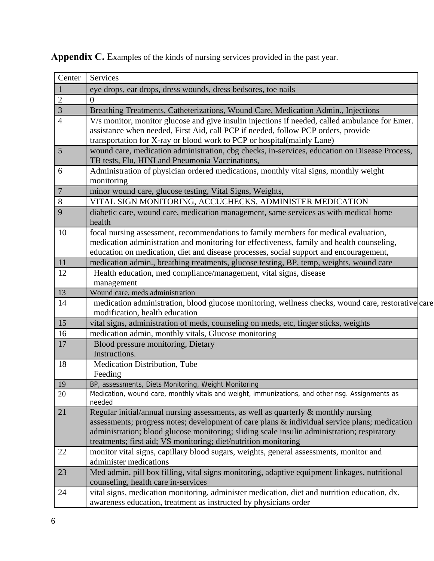| Center         | Services                                                                                                                                                                                                                                                                                                                                                 |
|----------------|----------------------------------------------------------------------------------------------------------------------------------------------------------------------------------------------------------------------------------------------------------------------------------------------------------------------------------------------------------|
| $\mathbf{1}$   | eye drops, ear drops, dress wounds, dress bedsores, toe nails                                                                                                                                                                                                                                                                                            |
| $\overline{2}$ | $\theta$                                                                                                                                                                                                                                                                                                                                                 |
| 3              | Breathing Treatments, Catheterizations, Wound Care, Medication Admin., Injections                                                                                                                                                                                                                                                                        |
| $\overline{4}$ | V/s monitor, monitor glucose and give insulin injections if needed, called ambulance for Emer.<br>assistance when needed, First Aid, call PCP if needed, follow PCP orders, provide<br>transportation for X-ray or blood work to PCP or hospital(mainly Lane)                                                                                            |
| 5              | wound care, medication administration, cbg checks, in-services, education on Disease Process,<br>TB tests, Flu, HINI and Pneumonia Vaccinations,                                                                                                                                                                                                         |
| 6              | Administration of physician ordered medications, monthly vital signs, monthly weight<br>monitoring                                                                                                                                                                                                                                                       |
| $\overline{7}$ | minor wound care, glucose testing, Vital Signs, Weights,                                                                                                                                                                                                                                                                                                 |
| 8              | VITAL SIGN MONITORING, ACCUCHECKS, ADMINISTER MEDICATION                                                                                                                                                                                                                                                                                                 |
| 9              | diabetic care, wound care, medication management, same services as with medical home<br>health                                                                                                                                                                                                                                                           |
| 10             | focal nursing assessment, recommendations to family members for medical evaluation,<br>medication administration and monitoring for effectiveness, family and health counseling,<br>education on medication, diet and disease processes, social support and encouragement,                                                                               |
| 11             | medication admin., breathing treatments, glucose testing, BP, temp, weights, wound care                                                                                                                                                                                                                                                                  |
| 12             | Health education, med compliance/management, vital signs, disease<br>management                                                                                                                                                                                                                                                                          |
| 13             | Wound care, meds administration                                                                                                                                                                                                                                                                                                                          |
| 14             | medication administration, blood glucose monitoring, wellness checks, wound care, restorative care<br>modification, health education                                                                                                                                                                                                                     |
| 15             | vital signs, administration of meds, counseling on meds, etc, finger sticks, weights                                                                                                                                                                                                                                                                     |
| 16             | medication admin, monthly vitals, Glucose monitoring                                                                                                                                                                                                                                                                                                     |
| 17             | Blood pressure monitoring, Dietary<br>Instructions.                                                                                                                                                                                                                                                                                                      |
| 18             | Medication Distribution, Tube<br>Feeding                                                                                                                                                                                                                                                                                                                 |
| 19             | BP, assessments, Diets Monitoring, Weight Monitoring                                                                                                                                                                                                                                                                                                     |
| 20             | Medication, wound care, monthly vitals and weight, immunizations, and other nsg. Assignments as<br>needed                                                                                                                                                                                                                                                |
| 21             | Regular initial/annual nursing assessments, as well as quarterly $\&$ monthly nursing<br>assessments; progress notes; development of care plans & individual service plans; medication<br>administration; blood glucose monitoring; sliding scale insulin administration; respiratory<br>treatments; first aid; VS monitoring; diet/nutrition monitoring |
| 22             | monitor vital signs, capillary blood sugars, weights, general assessments, monitor and<br>administer medications                                                                                                                                                                                                                                         |
| 23             | Med admin, pill box filling, vital signs monitoring, adaptive equipment linkages, nutritional<br>counseling, health care in-services                                                                                                                                                                                                                     |
| 24             | vital signs, medication monitoring, administer medication, diet and nutrition education, dx.<br>awareness education, treatment as instructed by physicians order                                                                                                                                                                                         |

Appendix C. Examples of the kinds of nursing services provided in the past year.